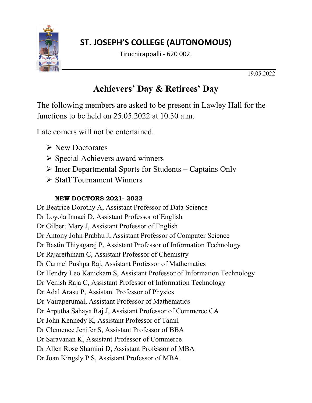

## **ST. JOSEPH'S COLLEGE (AUTONOMOUS)**

Tiruchirappalli - 620 002.

19.05.2022

## **Achievers' Day & Retirees' Day**

The following members are asked to be present in Lawley Hall for the functions to be held on 25.05.2022 at 10.30 a.m.

Late comers will not be entertained.

- $\triangleright$  New Doctorates
- $\triangleright$  Special Achievers award winners
- $\triangleright$  Inter Departmental Sports for Students Captains Only
- Staff Tournament Winners

#### **NEW DOCTORS 2021- 2022**

Dr Beatrice Dorothy A, Assistant Professor of Data Science Dr Loyola Innaci D, Assistant Professor of English Dr Gilbert Mary J, Assistant Professor of English Dr Antony John Prabhu J, Assistant Professor of Computer Science Dr Bastin Thiyagaraj P, Assistant Professor of Information Technology Dr Rajarethinam C, Assistant Professor of Chemistry Dr Carmel Pushpa Raj, Assistant Professor of Mathematics Dr Hendry Leo Kanickam S, Assistant Professor of Information Technology Dr Venish Raja C, Assistant Professor of Information Technology Dr Adal Arasu P, Assistant Professor of Physics Dr Vairaperumal, Assistant Professor of Mathematics Dr Arputha Sahaya Raj J, Assistant Professor of Commerce CA Dr John Kennedy K, Assistant Professor of Tamil Dr Clemence Jenifer S, Assistant Professor of BBA Dr Saravanan K, Assistant Professor of Commerce Dr Allen Rose Shamini D, Assistant Professor of MBA Dr Joan Kingsly P S, Assistant Professor of MBA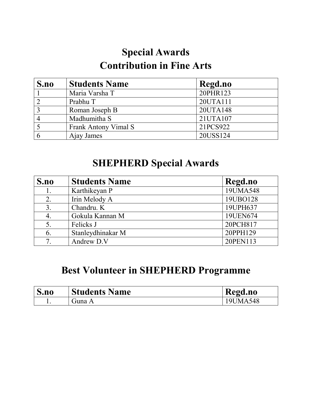# **Special Awards Contribution in Fine Arts**

| S.no | <b>Students Name</b> | Regd.no  |
|------|----------------------|----------|
|      | Maria Varsha T       | 20PHR123 |
|      | Prabhu T             | 20UTA111 |
|      | Roman Joseph B       | 20UTA148 |
|      | Madhumitha S         | 21UTA107 |
|      | Frank Antony Vimal S | 21PCS922 |
|      | Ajay James           | 20USS124 |

# **SHEPHERD Special Awards**

| S.no | <b>Students Name</b> | Regd.no  |
|------|----------------------|----------|
| 1.   | Karthikeyan P        | 19UMA548 |
| 2.   | Irin Melody A        | 19UBO128 |
| 3.   | Chandru. K           | 19UPH637 |
| 4.   | Gokula Kannan M      | 19UEN674 |
| 5.   | Felicks J            | 20PCH817 |
| 6.   | Stanleydhinakar M    | 20PPH129 |
| 7.   | Andrew D.V           | 20PEN113 |

## **Best Volunteer in SHEPHERD Programme**

| S <sub>n0</sub> | <b>Students Name</b> | Regd.no  |
|-----------------|----------------------|----------|
|                 | Guna A               | 19UMA548 |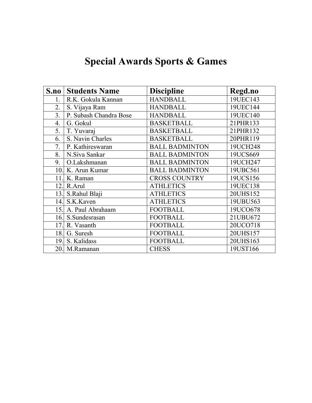# **Special Awards Sports & Games**

| S.no             | <b>Students Name</b>   | <b>Discipline</b>     | Regd.no  |
|------------------|------------------------|-----------------------|----------|
| 1.               | R.K. Gokula Kannan     | <b>HANDBALL</b>       | 19UEC143 |
| 2.               | S. Vijaya Ram          | <b>HANDBALL</b>       | 19UEC144 |
| $\overline{3}$ . | P. Subash Chandra Bose | <b>HANDBALL</b>       | 19UEC140 |
| $\overline{4}$ . | G. Gokul               | <b>BASKETBALL</b>     | 21PHR133 |
| 5.               | T. Yuvaraj             | <b>BASKETBALL</b>     | 21PHR132 |
| 6.               | S. Navin Charles       | <b>BASKETBALL</b>     | 20PHR119 |
| 7.               | P. Kathireswaran       | <b>BALL BADMINTON</b> | 19UCH248 |
| 8.               | N.Siva Sankar          | <b>BALL BADMINTON</b> | 19UCS669 |
| 9.               | O.Lakshmanan           | <b>BALL BADMINTON</b> | 19UCH247 |
| 10.              | K. Arun Kumar          | <b>BALL BADMINTON</b> | 19UBC561 |
| 11               | K. Raman               | <b>CROSS COUNTRY</b>  | 19UCS156 |
| 12.              | R.Arul                 | <b>ATHLETICS</b>      | 19UEC138 |
| 13.              | S.Rahul Blaji          | <b>ATHLETICS</b>      | 20UHS152 |
| 14.              | S.K.Kaven              | <b>ATHLETICS</b>      | 19UBU563 |
| 15.              | A. Paul Abrahaam       | <b>FOOTBALL</b>       | 19UCO678 |
| 16.              | S.Sundesrasan          | <b>FOOTBALL</b>       | 21UBU672 |
| 17.              | R. Vasanth             | <b>FOOTBALL</b>       | 20UCO718 |
| 18.              | G. Suresh              | <b>FOOTBALL</b>       | 20UHS157 |
| 19.              | S. Kalidass            | <b>FOOTBALL</b>       | 20UHS163 |
| 20.              | M.Ramanan              | <b>CHESS</b>          | 19UST166 |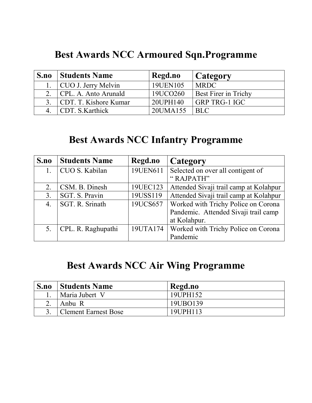## **Best Awards NCC Armoured Sqn.Programme**

| S.no           | <b>Students Name</b>  | Regd.no  | Category             |
|----------------|-----------------------|----------|----------------------|
|                | CUO J. Jerry Melvin   | 19UEN105 | <b>MRDC</b>          |
| 2 <sup>1</sup> | CPL. A. Anto Arunald  | 19UCO260 | Best Firer in Trichy |
|                | CDT. T. Kishore Kumar | 20UPH140 | <b>GRP TRG-1 IGC</b> |
|                | CDT. S. Karthick      | 20UMA155 | <b>BLC</b>           |

# **Best Awards NCC Infantry Programme**

| S.no             | <b>Students Name</b> | Regd.no  | Category                               |
|------------------|----------------------|----------|----------------------------------------|
|                  | CUO S. Kabilan       | 19UEN611 | Selected on over all contigent of      |
|                  |                      |          | "RAJPATH"                              |
| 2.               | CSM. B. Dinesh       | 19UEC123 | Attended Sivaji trail camp at Kolahpur |
| 3.               | SGT. S. Pravin       | 19USS119 | Attended Sivaji trail camp at Kolahpur |
| $\overline{4}$ . | SGT. R. Srinath      | 19UCS657 | Worked with Trichy Police on Corona    |
|                  |                      |          | Pandemic. Attended Sivaji trail camp   |
|                  |                      |          | at Kolahpur.                           |
| 5.               | CPL. R. Raghupathi   | 19UTA174 | Worked with Trichy Police on Corona    |
|                  |                      |          | Pandemic                               |

# **Best Awards NCC Air Wing Programme**

| S.no | <b>Students Name</b>        | Regd.no  |
|------|-----------------------------|----------|
|      | Maria Jubert V              | 19UPH152 |
|      | Anbu R                      | 19UBO139 |
|      | <b>Clement Earnest Bose</b> | 19UPH113 |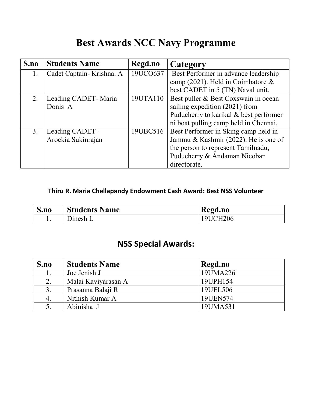# **Best Awards NCC Navy Programme**

| S.no           | <b>Students Name</b>     | Regd.no  | Category                               |
|----------------|--------------------------|----------|----------------------------------------|
| 1.             | Cadet Captain-Krishna. A | 19UCO637 | Best Performer in advance leadership   |
|                |                          |          | camp (2021). Held in Coimbatore $\&$   |
|                |                          |          | best CADET in 5 (TN) Naval unit.       |
| 2.             | Leading CADET - Maria    | 19UTA110 | Best puller & Best Coxswain in ocean   |
|                | Donis A                  |          | sailing expedition (2021) from         |
|                |                          |          | Puducherry to karikal & best performer |
|                |                          |          | ni boat pulling camp held in Chennai.  |
| 3 <sub>1</sub> | Leading CADET –          | 19UBC516 | Best Performer in Sking camp held in   |
|                | Arockia Sukinrajan       |          | Jammu & Kashmir (2022). He is one of   |
|                |                          |          | the person to represent Tamilnadu,     |
|                |                          |          | Puducherry & Andaman Nicobar           |
|                |                          |          | directorate.                           |

#### **Thiru R. Maria Chellapandy Endowment Cash Award: Best NSS Volunteer**

| S.no | <b>Students Name</b> | Regd.no  |
|------|----------------------|----------|
|      | $D$ the $L$          | 19UCH206 |

#### **NSS Special Awards:**

| S.no | <b>Students Name</b> | Regd.no  |
|------|----------------------|----------|
|      | Joe Jenish J         | 19UMA226 |
| 2.   | Malai Kaviyarasan A  | 19UPH154 |
| 3.   | Prasanna Balaji R    | 19UEL506 |
| 4.   | Nithish Kumar A      | 19UEN574 |
|      | Abinisha J           | 19UMA531 |